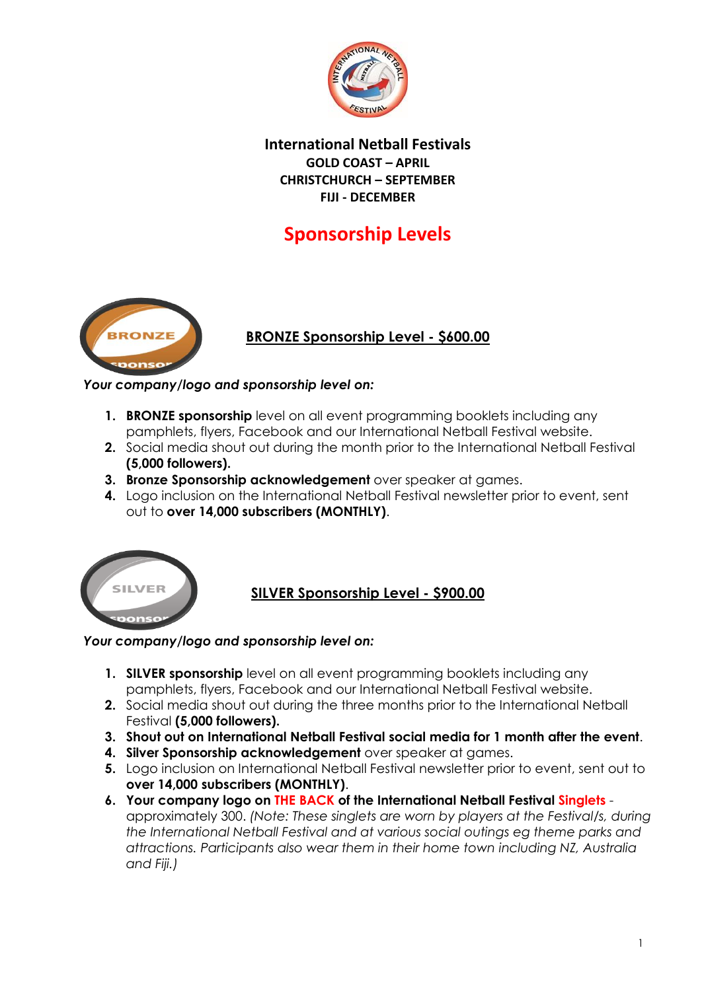

**International Netball Festivals GOLD COAST – APRIL CHRISTCHURCH – SEPTEMBER FIJI - DECEMBER**

# **Sponsorship Levels**



### **BRONZE Sponsorship Level - \$600.00**

#### *Your company/logo and sponsorship level on:*

- **1. BRONZE sponsorship** level on all event programming booklets including any pamphlets, flyers, Facebook and our International Netball Festival website.
- **2.** Social media shout out during the month prior to the International Netball Festival **(5,000 followers).**
- **3. Bronze Sponsorship acknowledgement** over speaker at games.
- **4.** Logo inclusion on the International Netball Festival newsletter prior to event, sent out to **over 14,000 subscribers (MONTHLY)**.



## **SILVER Sponsorship Level - \$900.00**

#### *Your company/logo and sponsorship level on:*

- **1. SILVER sponsorship** level on all event programming booklets including any pamphlets, flyers, Facebook and our International Netball Festival website.
- **2.** Social media shout out during the three months prior to the International Netball Festival **(5,000 followers).**
- **3. Shout out on International Netball Festival social media for 1 month after the event**.
- **4. Silver Sponsorship acknowledgement** over speaker at games.
- **5.** Logo inclusion on International Netball Festival newsletter prior to event, sent out to **over 14,000 subscribers (MONTHLY)**.
- **6. Your company logo on THE BACK of the International Netball Festival Singlets** approximately 300. *(Note: These singlets are worn by players at the Festival/s, during the International Netball Festival and at various social outings eg theme parks and attractions. Participants also wear them in their home town including NZ, Australia and Fiji.)*